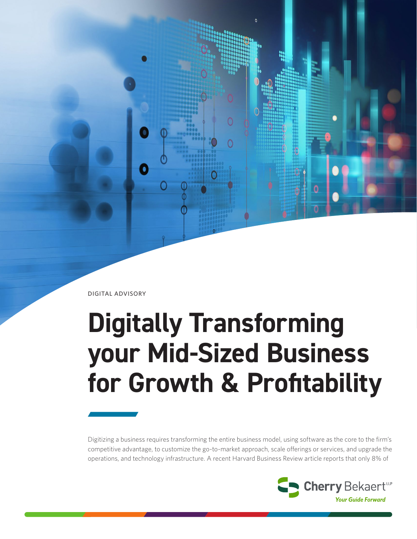DIGITAL ADVISORY

# **Digitally Transforming your Mid-Sized Business for Growth & Profitability**

Digitizing a business requires transforming the entire business model, using software as the core to the firm's competitive advantage, to customize the go-to-market approach, scale offerings or services, and upgrade the operations, and technology infrastructure. A recent Harvard Business Review article reports that only 8% of

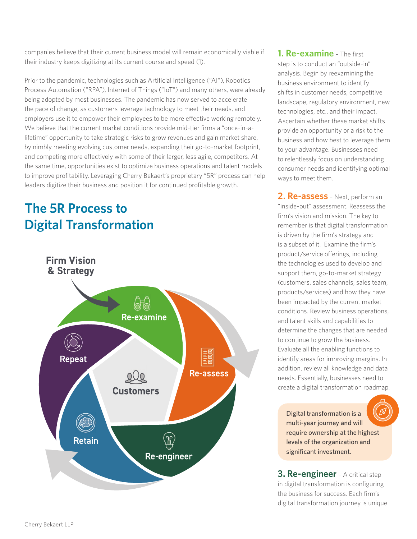companies believe that their current business model will remain economically viable if their industry keeps digitizing at its current course and speed (1).

Prior to the pandemic, technologies such as Artificial Intelligence ("AI"), Robotics Process Automation ("RPA"), Internet of Things ("IoT") and many others, were already being adopted by most businesses. The pandemic has now served to accelerate the pace of change, as customers leverage technology to meet their needs, and employers use it to empower their employees to be more effective working remotely. We believe that the current market conditions provide mid-tier firms a "once-in-alifetime" opportunity to take strategic risks to grow revenues and gain market share, by nimbly meeting evolving customer needs, expanding their go-to-market footprint, and competing more effectively with some of their larger, less agile, competitors. At the same time, opportunities exist to optimize business operations and talent models to improve profitability. Leveraging Cherry Bekaert's proprietary "5R" process can help leaders digitize their business and position it for continued profitable growth.

# **The 5R Process to Digital Transformation**



**1. Re-examine** – The first step is to conduct an "outside-in" analysis. Begin by reexamining the business environment to identify shifts in customer needs, competitive landscape, regulatory environment, new technologies, etc., and their impact. Ascertain whether these market shifts provide an opportunity or a risk to the business and how best to leverage them to your advantage. Businesses need to relentlessly focus on understanding consumer needs and identifying optimal ways to meet them.

**2. Re-assess** – Next, perform an "inside-out" assessment. Reassess the firm's vision and mission. The key to remember is that digital transformation is driven by the firm's strategy and is a subset of it. Examine the firm's product/service offerings, including the technologies used to develop and support them, go-to-market strategy (customers, sales channels, sales team, products/services) and how they have been impacted by the current market conditions. Review business operations, and talent skills and capabilities to determine the changes that are needed to continue to grow the business. Evaluate all the enabling functions to identify areas for improving margins. In addition, review all knowledge and data needs. Essentially, businesses need to create a digital transformation roadmap.

Digital transformation is a multi-year journey and will require ownership at the highest levels of the organization and significant investment.

**3. Re-engineer** – A critical step in digital transformation is configuring the business for success. Each firm's digital transformation journey is unique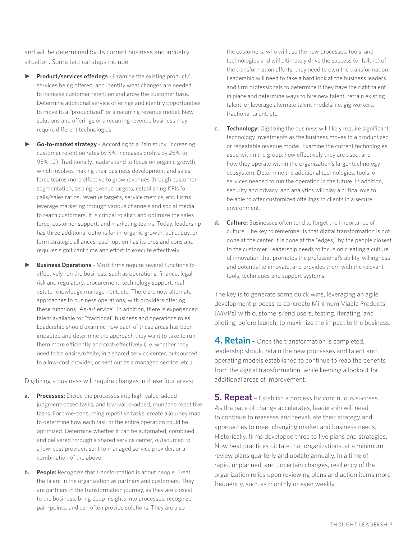and will be determined by its current business and industry situation. Some tactical steps include:

- **Product/services offerings** Examine the existing product/ services being offered, and identify what changes are needed to increase customer retention and grow the customer base. Determine additional service offerings and identify opportunities to move to a "productized" or a recurring revenue model. New solutions and offerings or a recurring revenue business may require different technologies.
- **Go-to-market strategy** According to a Bain study, increasing customer retention rates by 5% increases profits by 25% to 95% (2). Traditionally, leaders tend to focus on organic growth, which involves making their business development and sales force teams more effective to grow revenues through customer segmentation, setting revenue targets, establishing KPIs for calls/sales ratios, revenue targets, service metrics, etc. Firms leverage marketing through various channels and social media to reach customers. It is critical to align and optimize the sales force, customer support, and marketing teams. Today, leadership has three additional options for in-organic growth: build, buy, or form strategic alliances; each option has its pros and cons and requires significant time and effort to execute effectively.
- **Business Operations** Most firms require several functions to effectively run the business, such as operations, finance, legal, risk and regulatory, procurement, technology support, real estate, knowledge management, etc. There are now alternate approaches to business operations, with providers offering these functions "As-a-Service". In addition, there is experienced talent available for "fractional" business and operations roles. Leadership should examine how each of these areas has been impacted and determine the approach they want to take to run them more efficiently and cost-effectively (i.e. whether they need to be onsite/offsite, in a shared service center, outsourced to a low-cost provider, or sent out as a managed service, etc.).

Digitizing a business will require changes in these four areas:

- **a. Processes:** Divide the processes into high-value-added judgment-based tasks, and low-value-added, mundane repetitive tasks. For time-consuming repetitive tasks, create a journey map to determine how each task or the entire operation could be optimized. Determine whether it can be automated; combined and delivered through a shared service center; outsourced to a low-cost provider; sent to managed service provider, or a combination of the above.
- **b. People:** Recognize that transformation is about people. Treat the talent in the organization as partners and customers. They are partners in the transformation journey, as they are closest to the business, bring deep insights into processes, recognize pain-points, and can often provide solutions. They are also

the customers, who will use the new processes, tools, and technologies and will ultimately drive the success (or failure) of the transformation efforts; they need to own the transformation. Leadership will need to take a hard look at the business leaders and firm professionals to determine if they have the right talent in place and determine ways to hire new talent, retrain existing talent, or leverage alternate talent models, i.e. gig workers, fractional talent, etc.

- **c. Technology:** Digitizing the business will likely require significant technology investments as the business moves to a productized or repeatable revenue model. Examine the current technologies used within the group, how effectively they are used, and how they operate within the organization's larger technology ecosystem. Determine the additional technologies, tools, or services needed to run the operation in the future. In addition, security and privacy, and analytics will play a critical role to be able to offer customized offerings to clients in a secure environment.
- **d. Culture:** Businesses often tend to forget the importance of culture. The key to remember is that digital transformation is not done at the center, it is done at the "edges," by the people closest to the customer. Leadership needs to focus on creating a culture of innovation that promotes the professional's ability, willingness and potential to innovate, and provides them with the relevant tools, techniques and support systems.

The key is to generate some quick wins, leveraging an agile development process to co-create Minimum Viable Products (MVPs) with customers/end users, testing, iterating, and piloting, before launch, to maximize the impact to the business.

**4. Retain** - Once the transformation is completed, leadership should retain the new processes and talent and operating models established to continue to reap the benefits from the digital transformation, while keeping a lookout for additional areas of improvement.

**5. Repeat** – Establish a process for continuous success. As the pace of change accelerates, leadership will need to continue to reassess and reevaluate their strategy and approaches to meet changing market and business needs. Historically, firms developed three to five plans and strategies. Now best practices dictate that organizations, at a minimum, review plans quarterly and update annually. In a time of rapid, unplanned, and uncertain changes, resiliency of the organization relies upon reviewing plans and action items more frequently, such as monthly or even weekly.